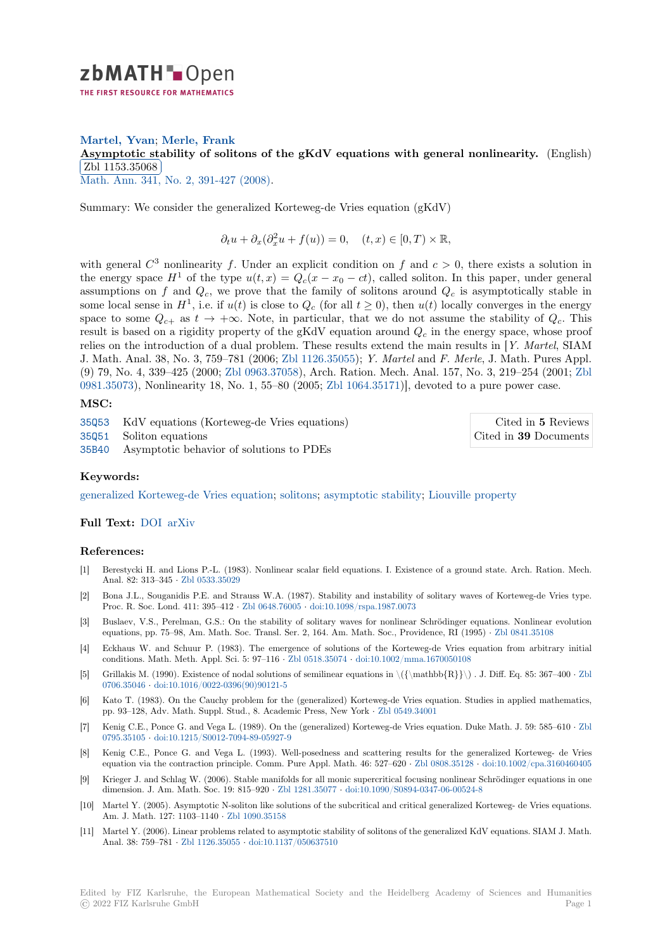

# **Martel, Yvan**; **Merle, Frank**

[A](https://zbmath.org/)symptotic stability of solitons of the gKdV equations with general nonlinearity. (English) Zbl 1153.35068

<u>Math. Ann. 341,</u> No. 2, 391-427 (2008).

[Summary: We consider the generalized Korteweg-de Vries equation \(gKdV\)](https://zbmath.org/1153.35068)

 $\partial_t u + \partial_x (\partial_x^2 u + f(u)) = 0, \quad (t, x) \in [0, T) \times \mathbb{R},$  $\partial_t u + \partial_x (\partial_x^2 u + f(u)) = 0, \quad (t, x) \in [0, T) \times \mathbb{R},$  $\partial_t u + \partial_x (\partial_x^2 u + f(u)) = 0, \quad (t, x) \in [0, T) \times \mathbb{R},$ 

with general  $C^3$  nonlinearity f. Under an explicit condition on f and  $c > 0$ , there exists a solution in the energy space  $H^1$  of the type  $u(t, x) = Q_c(x - x_0 - ct)$ , called soliton. In this paper, under general assumptions on  $f$  and  $Q_c$ , we prove that the family of solitons around  $Q_c$  is asymptotically stable in some local sense in  $H^1$ , i.e. if  $u(t)$  is close to  $Q_c$  (for all  $t \ge 0$ ), then  $u(t)$  locally converges in the energy space to some  $Q_{c+}$  as  $t \to +\infty$ . Note, in particular, that we do not assume the stability of  $Q_c$ . This result is based on a rigidity property of the gKdV equation around *Q<sup>c</sup>* in the energy space, whose proof relies on the introduction of a dual problem. These results extend the main results in [*Y. Martel*, SIAM J. Math. Anal. 38, No. 3, 759–781 (2006; Zbl 1126.35055); *Y. Martel* and *F. Merle*, J. Math. Pures Appl. (9) 79, No. 4, 339–425 (2000; Zbl 0963.37058), Arch. Ration. Mech. Anal. 157, No. 3, 219–254 (2001; Zbl 0981.35073), Nonlinearity 18, No. 1, 55–80 (2005; Zbl 1064.35171)], devoted to a pure power case.

### **MSC:**

35Q53 KdV equations (Kor[teweg-de Vries](https://zbmath.org/?q=an:0963.37058) [equations\)](https://zbmath.org/?q=an:1126.35055) [35Q51](https://zbmath.org/?q=an:0981.35073) Soliton equations 35B40 Asymptotic behavior of solutions to PD[Es](https://zbmath.org/?q=an:1064.35171)

Cited in **5** Revi[ews](https://zbmath.org/?q=an:0981.35073) Cited in **39** Documents

## **[Keyw](https://zbmath.org/classification/?q=cc:35Q53)ords:**

[genera](https://zbmath.org/classification/?q=cc:35Q51)lized Korteweg-de Vries equation; solitons; asymptotic stability; Liouville [property](https://zbmath.org/?q=rf:1153.35068|5267019)

### **Full Text:** DOI arXiv

### **[References:](https://zbmath.org/?q=ut:generalized+Korteweg-de+Vries+equation)**

- [1] Berestycki H. and Lions P.-L. (1983). Nonlinear scalar field equations. I. Existence of a ground state. Arch. Ration. Mech. Anal. 82: [313–3](https://dx.doi.org/10.1007/s00208-007-0194-z)45 *·* [Zbl](https://arxiv.org/abs/0706.1174) 0533.35029
- [2] Bona J.L., Souganidis P.E. and Strauss W.A. (1987). Stability and instability of solitary waves of Korteweg-de Vries type. Proc. R. Soc. Lond. 411: 395–412 *·* Zbl 0648.76005 *·* doi:10.1098/rspa.1987.0073
- [3] Buslaev, V.S., Perelman, G.S.: On the stability of solitary waves for nonlinear Schrödinger equations. Nonlinear evolution equations, pp. 75–9[8, Am. Math. So](https://zbmath.org/0533.35029)c. Transl. Ser. 2, 164. Am. Math. Soc., Providence, RI (1995) *·* Zbl 0841.35108
- [4] Eckhaus W. and Schuur P. (1983). The emergence of solutions of the Korteweg-de Vries equation from arbitrary initial conditions. Math. Meth. Appl. Sci. [5: 97–116](https://zbmath.org/0648.76005) *·* Zbl 0518.35074 *·* [doi:10.1002/mm](https://dx.doi.org/10.1098/rspa.1987.0073)a.1670050108
- [5] Grillakis M. (1990). Existence of nodal solutions of semilinear equations in \({\mathbb{R}}\) . J. Diff. Eq. 85: 367–400 *·* Zbl 0706.35046 *·* doi:10.1016/0022-0396(90)90121-5
- [6] Kato T. (1983). On the Cauchy problem for the (generalized) Korteweg-de Vries equation. Studies in applied mathematics, pp. 93–128, Adv. Math. Suppl. Stud., 8. Acade[mic Press, New](https://zbmath.org/0518.35074) York *·* [Zbl 0549.34001](https://dx.doi.org/10.1002/mma.1670050108)
- [7] Kenig C.E., Ponce G. and Vega L. (1989). On the (generalized) Korteweg-de Vries equation. Duke Math. J. 59: 585–610 *·* [Zbl](https://zbmath.org/0706.35046) [0795.35105](https://zbmath.org/0706.35046) *·* [doi:10.1215/S0012-7094-89-05927-9](https://dx.doi.org/10.1016/0022-0396(90)90121-5)
- [8] Kenig C.E., Ponce G. and Vega L. (1993). Well-posedness and scattering results for the generalized Korteweg- de Vries equation via the contraction principle. Comm. Pure Appl. Math. 46: [527–620](https://zbmath.org/0549.34001) *·* Zbl 0808.35128 *·* doi:10.1002/cpa.3160460405
- Krieger J. and Schlag W. (2006). Stable manifolds for all monic supercritical focusing nonlinear Schrödinger equations in [one](https://zbmath.org/0795.35105) [dimension.](https://zbmath.org/0795.35105) J. [Am. Math. Soc. 19: 815–920](https://dx.doi.org/10.1215/S0012-7094-89-05927-9) *·* Zbl 1281.35077 *·* doi:10.1090/S0894-0347-06-00524-8
- [10] Martel Y. (2005). Asymptotic N-soliton like solutions of the subcritical and critical generalized Korteweg- de Vries equations. Am. J. Math. 127: 1103–1140 *·* Zbl 1090.35158
- [11] Martel Y. (2006). Linear problems related to asymptotic stability of solitons of the generalized KdV equations. SIAM J. Math. Anal. 38: 759–781 *·* Zbl 1126.35055 *·* doi:10.[1137/050637510](https://zbmath.org/1281.35077)